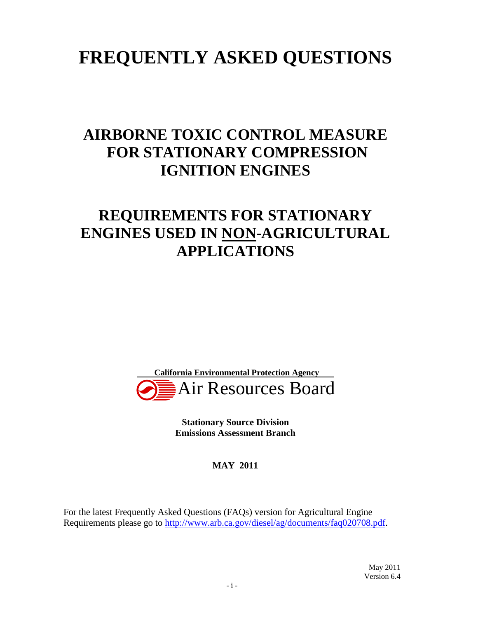# **FREQUENTLY ASKED QUESTIONS**

# **AIRBORNE TOXIC CONTROL MEASURE FOR STATIONARY COMPRESSION IGNITION ENGINES**

# **REQUIREMENTS FOR STATIONARY ENGINES USED IN NON-AGRICULTURAL APPLICATIONS**



 **Stationary Source Division Emissions Assessment Branch** 

 **MAY 2011** 

 For the latest Frequently Asked Questions (FAQs) version for Agricultural Engine Requirements please go to [http://www.arb.ca.gov/diesel/ag/documents/faq020708.pdf.](http://www.arb.ca.gov/diesel/ag/documents/faq020708.pdf)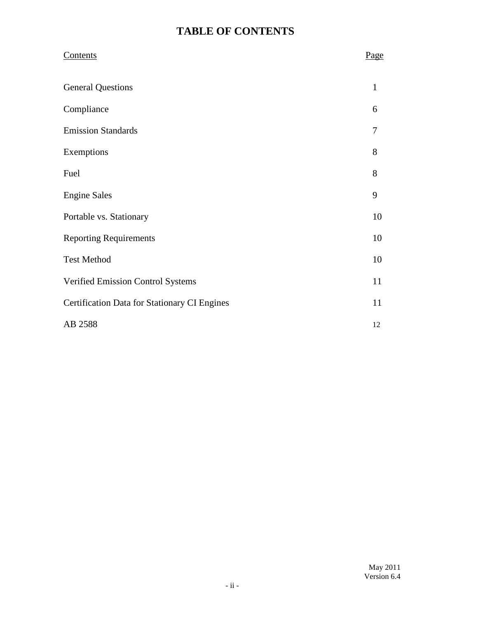# **TABLE OF CONTENTS**

| <b>Contents</b>                                     | Page         |
|-----------------------------------------------------|--------------|
| <b>General Questions</b>                            | $\mathbf{1}$ |
| Compliance                                          | 6            |
| <b>Emission Standards</b>                           | 7            |
| Exemptions                                          | 8            |
| Fuel                                                | 8            |
| <b>Engine Sales</b>                                 | 9            |
| Portable vs. Stationary                             | 10           |
| <b>Reporting Requirements</b>                       | 10           |
| <b>Test Method</b>                                  | 10           |
| Verified Emission Control Systems                   | 11           |
| <b>Certification Data for Stationary CI Engines</b> | 11           |
| AB 2588                                             | 12           |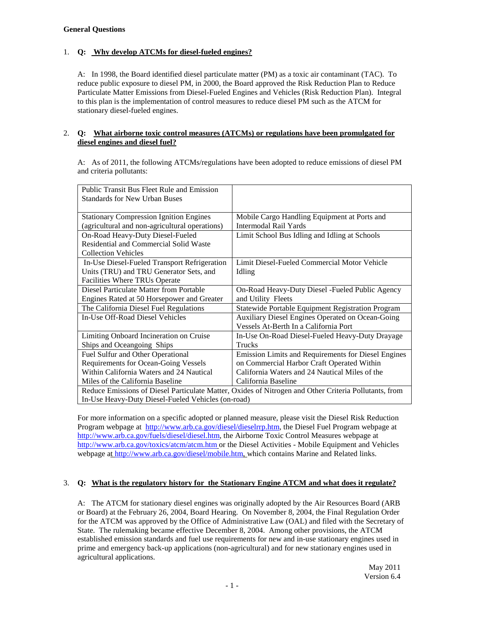### **General Questions**

### 1. **Q: Why develop ATCMs for diesel-fueled engines?**

 A: In 1998, the Board identified diesel particulate matter (PM) as a toxic air contaminant (TAC). To reduce public exposure to diesel PM, in 2000, the Board approved the Risk Reduction Plan to Reduce Particulate Matter Emissions from Diesel-Fueled Engines and Vehicles (Risk Reduction Plan). Integral to this plan is the implementation of control measures to reduce diesel PM such as the ATCM for stationary diesel-fueled engines.

### 2. **Q: What airborne toxic control measures (ATCMs) or regulations have been promulgated for diesel engines and diesel fuel?**

 A: As of 2011, the following ATCMs/regulations have been adopted to reduce emissions of diesel PM and criteria pollutants:

| Public Transit Bus Fleet Rule and Emission                                                            |                                                     |  |
|-------------------------------------------------------------------------------------------------------|-----------------------------------------------------|--|
| <b>Standards for New Urban Buses</b>                                                                  |                                                     |  |
|                                                                                                       |                                                     |  |
| <b>Stationary Compression Ignition Engines</b>                                                        | Mobile Cargo Handling Equipment at Ports and        |  |
| (agricultural and non-agricultural operations)                                                        | Intermodal Rail Yards                               |  |
| On-Road Heavy-Duty Diesel-Fueled                                                                      | Limit School Bus Idling and Idling at Schools       |  |
| Residential and Commercial Solid Waste                                                                |                                                     |  |
| <b>Collection Vehicles</b>                                                                            |                                                     |  |
| In-Use Diesel-Fueled Transport Refrigeration                                                          | Limit Diesel-Fueled Commercial Motor Vehicle        |  |
| Units (TRU) and TRU Generator Sets, and                                                               | Idling                                              |  |
| Facilities Where TRUs Operate                                                                         |                                                     |  |
| Diesel Particulate Matter from Portable                                                               | On-Road Heavy-Duty Diesel - Fueled Public Agency    |  |
| Engines Rated at 50 Horsepower and Greater                                                            | and Utility Fleets                                  |  |
| The California Diesel Fuel Regulations                                                                | Statewide Portable Equipment Registration Program   |  |
| In-Use Off-Road Diesel Vehicles                                                                       | Auxiliary Diesel Engines Operated on Ocean-Going    |  |
|                                                                                                       | Vessels At-Berth In a California Port               |  |
| Limiting Onboard Incineration on Cruise                                                               | In-Use On-Road Diesel-Fueled Heavy-Duty Drayage     |  |
| Ships and Oceangoing Ships                                                                            | <b>Trucks</b>                                       |  |
| Fuel Sulfur and Other Operational                                                                     | Emission Limits and Requirements for Diesel Engines |  |
| <b>Requirements for Ocean-Going Vessels</b>                                                           | on Commercial Harbor Craft Operated Within          |  |
| Within California Waters and 24 Nautical                                                              | California Waters and 24 Nautical Miles of the      |  |
| Miles of the California Baseline                                                                      | California Baseline                                 |  |
| Reduce Emissions of Diesel Particulate Matter, Oxides of Nitrogen and Other Criteria Pollutants, from |                                                     |  |
| In-Use Heavy-Duty Diesel-Fueled Vehicles (on-road)                                                    |                                                     |  |

 For more information on a specific adopted or planned measure, please visit the Diesel Risk Reduction Program webpage at <http://www.arb.ca.gov/diesel/dieselrrp.htm>, the Diesel Fuel Program webpage at [http://www.arb.ca.gov/fuels/diesel/diesel.htm,](http://www.arb.ca.gov/fuels/diesel/diesel.htm) the Airborne Toxic Control Measures webpage at <http://www.arb.ca.gov/toxics/atcm/atcm.htm> or the Diesel Activities - Mobile Equipment and Vehicles webpage at [http://www.arb.ca.gov/diesel/mobile.htm,](http://www.arb.ca.gov/diesel/mobile.htm) which contains Marine and Related links.

### 3. **Q: What is the regulatory history for the Stationary Engine ATCM and what does it regulate?**

 A: The ATCM for stationary diesel engines was originally adopted by the Air Resources Board (ARB or Board) at the February 26, 2004, Board Hearing. On November 8, 2004, the Final Regulation Order for the ATCM was approved by the Office of Administrative Law (OAL) and filed with the Secretary of State. The rulemaking became effective December 8, 2004. Among other provisions, the ATCM established emission standards and fuel use requirements for new and in-use stationary engines used in prime and emergency back-up applications (non-agricultural) and for new stationary engines used in agricultural applications.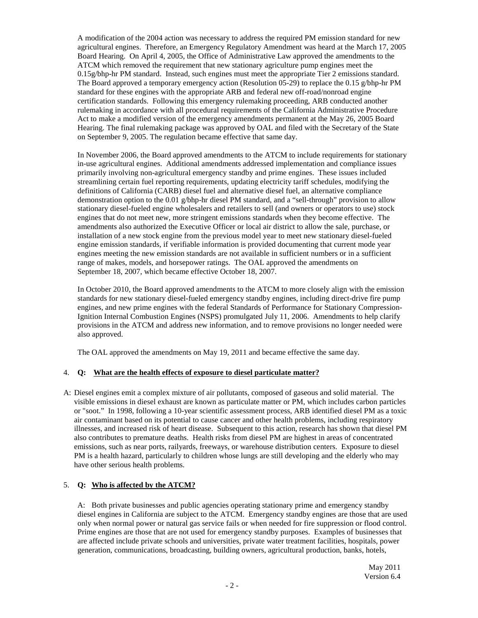A modification of the 2004 action was necessary to address the required PM emission standard for new agricultural engines. Therefore, an Emergency Regulatory Amendment was heard at the March 17, 2005 Board Hearing. On April 4, 2005, the Office of Administrative Law approved the amendments to the ATCM which removed the requirement that new stationary agriculture pump engines meet the 0.15g/bhp-hr PM standard. Instead, such engines must meet the appropriate Tier 2 emissions standard. The Board approved a temporary emergency action (Resolution 05-29) to replace the 0.15 g/bhp-hr PM standard for these engines with the appropriate ARB and federal new off-road/nonroad engine certification standards. Following this emergency rulemaking proceeding, ARB conducted another rulemaking in accordance with all procedural requirements of the California Administrative Procedure Act to make a modified version of the emergency amendments permanent at the May 26, 2005 Board Hearing. The final rulemaking package was approved by OAL and filed with the Secretary of the State on September 9, 2005. The regulation became effective that same day.

 In November 2006, the Board approved amendments to the ATCM to include requirements for stationary in-use agricultural engines. Additional amendments addressed implementation and compliance issues primarily involving non-agricultural emergency standby and prime engines. These issues included streamlining certain fuel reporting requirements, updating electricity tariff schedules, modifying the definitions of California (CARB) diesel fuel and alternative diesel fuel, an alternative compliance demonstration option to the 0.01 g/bhp-hr diesel PM standard, and a "sell-through" provision to allow stationary diesel-fueled engine wholesalers and retailers to sell (and owners or operators to use) stock engines that do not meet new, more stringent emissions standards when they become effective. The amendments also authorized the Executive Officer or local air district to allow the sale, purchase, or installation of a new stock engine from the previous model year to meet new stationary diesel-fueled engine emission standards, if verifiable information is provided documenting that current mode year engines meeting the new emission standards are not available in sufficient numbers or in a sufficient range of makes, models, and horsepower ratings. The OAL approved the amendments on September 18, 2007, which became effective October 18, 2007.

 In October 2010, the Board approved amendments to the ATCM to more closely align with the emission standards for new stationary diesel-fueled emergency standby engines, including direct-drive fire pump engines, and new prime engines with the federal Standards of Performance for Stationary Compression- Ignition Internal Combustion Engines (NSPS) promulgated July 11, 2006. Amendments to help clarify provisions in the ATCM and address new information, and to remove provisions no longer needed were also approved.

The OAL approved the amendments on May 19, 2011 and became effective the same day.

# 4. **Q: What are the health effects of exposure to diesel particulate matter?**

 A: Diesel engines emit a complex mixture of air pollutants, composed of gaseous and solid material. The visible emissions in diesel exhaust are known as particulate matter or PM, which includes carbon particles or "soot." In 1998, following a 10-year scientific assessment process, ARB identified diesel PM as a toxic air contaminant based on its potential to cause cancer and other health problems, including respiratory illnesses, and increased risk of heart disease. Subsequent to this action, research has shown that diesel PM also contributes to premature deaths. Health risks from diesel PM are highest in areas of concentrated emissions, such as near ports, railyards, freeways, or warehouse distribution centers. Exposure to diesel PM is a health hazard, particularly to children whose lungs are still developing and the elderly who may have other serious health problems.

# 5. **Q: Who is affected by the ATCM?**

 A: Both private businesses and public agencies operating stationary prime and emergency standby diesel engines in California are subject to the ATCM. Emergency standby engines are those that are used only when normal power or natural gas service fails or when needed for fire suppression or flood control. Prime engines are those that are not used for emergency standby purposes. Examples of businesses that are affected include private schools and universities, private water treatment facilities, hospitals, power generation, communications, broadcasting, building owners, agricultural production, banks, hotels,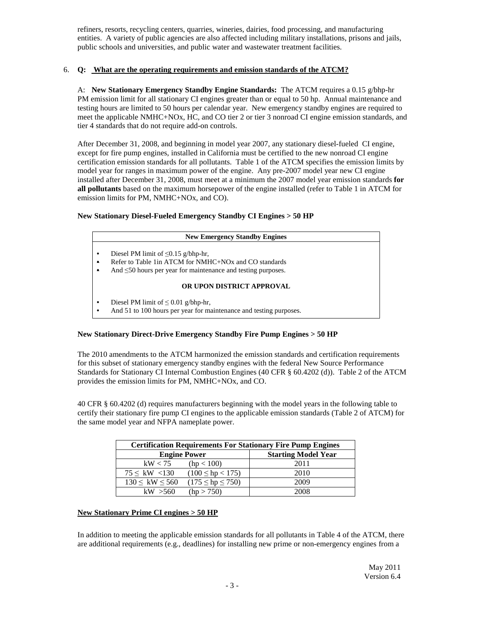refiners, resorts, recycling centers, quarries, wineries, dairies, food processing, and manufacturing entities. A variety of public agencies are also affected including military installations, prisons and jails, public schools and universities, and public water and wastewater treatment facilities.

### 6. **Q: What are the operating requirements and emission standards of the ATCM?**

 A: **New Stationary Emergency Standby Engine Standards:** The ATCM requires a 0.15 g/bhp-hr PM emission limit for all stationary CI engines greater than or equal to 50 hp. Annual maintenance and testing hours are limited to 50 hours per calendar year. New emergency standby engines are required to meet the applicable NMHC+NOx, HC, and CO tier 2 or tier 3 nonroad CI engine emission standards, and tier 4 standards that do not require add-on controls.

 After December 31, 2008, and beginning in model year 2007, any stationary diesel-fueled CI engine, except for fire pump engines, installed in California must be certified to the new nonroad CI engine certification emission standards for all pollutants. Table 1 of the ATCM specifies the emission limits by model year for ranges in maximum power of the engine. Any pre-2007 model year new CI engine installed after December 31, 2008, must meet at a minimum the 2007 model year emission standards **for all pollutants** based on the maximum horsepower of the engine installed (refer to Table 1 in ATCM for emission limits for PM, NMHC+NOx, and CO).

### **New Stationary Diesel-Fueled Emergency Standby CI Engines > 50 HP**

#### **New Emergency Standby Engines**

- Diesel PM limit of ≤0.15 g/bhp-hr, •
- Refer to Table 1in ATCM for NMHC+NOx and CO standards •
- And ≤50 hours per year for maintenance and testing purposes. •

### **OR UPON DISTRICT APPROVAL**

- Diesel PM limit of  $\leq 0.01$  g/bhp-hr, •
- And 51 to 100 hours per year for maintenance and testing purposes. •

### **New Stationary Direct-Drive Emergency Standby Fire Pump Engines > 50 HP**

 The 2010 amendments to the ATCM harmonized the emission standards and certification requirements for this subset of stationary emergency standby engines with the federal New Source Performance Standards for Stationary CI Internal Combustion Engines (40 CFR § 60.4202 (d)). Table 2 of the ATCM provides the emission limits for PM, NMHC+NOx, and CO.

 40 CFR § 60.4202 (d) requires manufacturers beginning with the model years in the following table to certify their stationary fire pump CI engines to the applicable emission standards (Table 2 of ATCM) for the same model year and NFPA nameplate power.

| <b>Certification Requirements For Stationary Fire Pump Engines</b> |                            |  |  |
|--------------------------------------------------------------------|----------------------------|--|--|
| <b>Engine Power</b>                                                | <b>Starting Model Year</b> |  |  |
| kW < 75<br>(hp < 100)                                              | 2011                       |  |  |
| $75 \leq KW < 130$<br>$(100 \le hp < 175)$                         | 2010                       |  |  |
| $(175 \le hp \le 750)$<br>$130 \leq KW \leq 560$                   | 2009                       |  |  |
| (hp > 750)<br>kW > 560                                             | 2008                       |  |  |

# **New Stationary Prime CI engines > 50 HP**

 In addition to meeting the applicable emission standards for all pollutants in Table 4 of the ATCM, there are additional requirements (e.g., deadlines) for installing new prime or non-emergency engines from a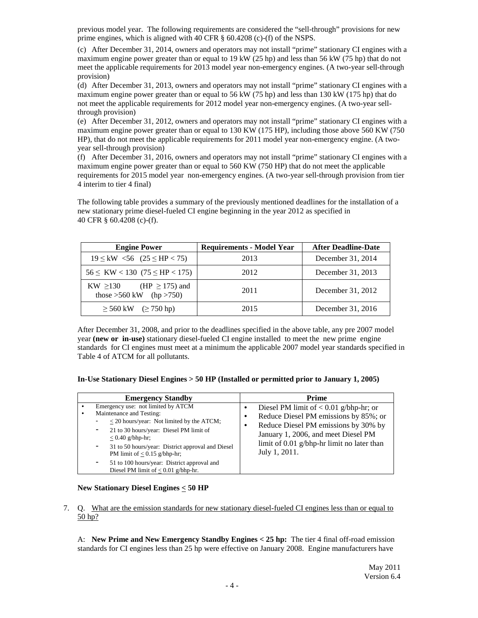previous model year. The following requirements are considered the "sell-through" provisions for new prime engines, which is aligned with 40 CFR § 60.4208 (c)-(f) of the NSPS.

 (c) After December 31, 2014, owners and operators may not install "prime" stationary CI engines with a maximum engine power greater than or equal to 19 kW (25 hp) and less than 56 kW (75 hp) that do not meet the applicable requirements for 2013 model year non-emergency engines. (A two-year sell-through provision)

 (d) After December 31, 2013, owners and operators may not install "prime" stationary CI engines with a maximum engine power greater than or equal to 56 kW (75 hp) and less than 130 kW (175 hp) that do not meet the applicable requirements for 2012 model year non-emergency engines. (A two-year sell-through provision)

 (e) After December 31, 2012, owners and operators may not install "prime" stationary CI engines with a maximum engine power greater than or equal to 130 KW (175 HP), including those above 560 KW (750 HP), that do not meet the applicable requirements for 2011 model year non-emergency engine. (A two-year sell-through provision)

 (f) After December 31, 2016, owners and operators may not install "prime" stationary CI engines with a maximum engine power greater than or equal to 560 KW (750 HP) that do not meet the applicable requirements for 2015 model year non-emergency engines. (A two-year sell-through provision from tier 4 interim to tier 4 final)

 The following table provides a summary of the previously mentioned deadlines for the installation of a new stationary prime diesel-fueled CI engine beginning in the year 2012 as specified in 40 CFR § 60.4208 (c)-(f).

| <b>Engine Power</b>                                                  | <b>Requirements - Model Year</b> | <b>After Deadline-Date</b> |
|----------------------------------------------------------------------|----------------------------------|----------------------------|
| $19 \leq \text{kW}$ <56 (25 \le HP < 75)                             | 2013                             | December 31, 2014          |
| $56 \leq KW < 130$ (75 $\leq$ HP $<$ 175)                            | 2012                             | December 31, 2013          |
| (HP $\geq$ 175) and<br>$KW \geq 130$<br>those $>560$ kW (hp $>750$ ) | 2011                             | December 31, 2012          |
| $\geq 560$ kW $\geq 750$ hp)                                         | 2015                             | December 31, 2016          |

 After December 31, 2008, and prior to the deadlines specified in the above table, any pre 2007 model  year **(new or in-use)** stationary diesel-fueled CI engine installed to meet the new prime engine standards for CI engines must meet at a minimum the applicable 2007 model year standards specified in Table 4 of ATCM for all pollutants.

| <b>Emergency Standby</b>                                                                                                                                                                                                                                                                                                                                                                     | <b>Prime</b>                                                                                                                                                                                                                    |
|----------------------------------------------------------------------------------------------------------------------------------------------------------------------------------------------------------------------------------------------------------------------------------------------------------------------------------------------------------------------------------------------|---------------------------------------------------------------------------------------------------------------------------------------------------------------------------------------------------------------------------------|
| Emergency use: not limited by ATCM<br>Maintenance and Testing:<br>$\bullet$<br>$\langle$ 20 hours/year: Not limited by the ATCM;<br>21 to 30 hours/year: Diesel PM limit of<br>۰.<br>$< 0.40$ g/bhp-hr;<br>31 to 50 hours/year: District approval and Diesel<br>۰.<br>PM limit of $< 0.15$ g/bhp-hr;<br>51 to 100 hours/year: District approval and<br>Diesel PM limit of $< 0.01$ g/bhp-hr. | Diesel PM limit of $< 0.01$ g/bhp-hr; or<br>Reduce Diesel PM emissions by 85%; or<br>Reduce Diesel PM emissions by 30% by<br>January 1, 2006, and meet Diesel PM<br>limit of 0.01 g/bhp-hr limit no later than<br>July 1, 2011. |

### **New Stationary Diesel Engines < 50 HP**

7. Q. What are the emission standards for new stationary diesel-fueled CI engines less than or equal to 50 hp?

 A: **New Prime and New Emergency Standby Engines < 25 hp:** The tier 4 final off-road emission standards for CI engines less than 25 hp were effective on January 2008. Engine manufacturers have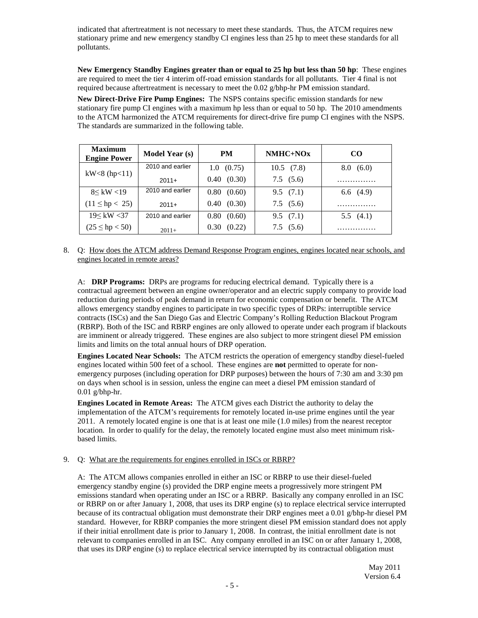indicated that aftertreatment is not necessary to meet these standards. Thus, the ATCM requires new stationary prime and new emergency standby CI engines less than 25 hp to meet these standards for all pollutants.

 **New Emergency Standby Engines greater than or equal to 25 hp but less than 50 hp**: These engines are required to meet the tier 4 interim off-road emission standards for all pollutants. Tier 4 final is not required because aftertreatment is necessary to meet the 0.02 g/bhp-hr PM emission standard.

 **New Direct-Drive Fire Pump Engines:** The NSPS contains specific emission standards for new stationary fire pump CI engines with a maximum hp less than or equal to 50 hp. The 2010 amendments to the ATCM harmonized the ATCM requirements for direct-drive fire pump CI engines with the NSPS. The standards are summarized in the following table.

| <b>Maximum</b><br><b>Engine Power</b> | <b>Model Year (s)</b> | <b>PM</b>          | $NMHC+NOx$     | CO <sub>1</sub> |
|---------------------------------------|-----------------------|--------------------|----------------|-----------------|
| $kW < 8$ (hp $< 11$ )                 | 2010 and earlier      | $1.0 \quad (0.75)$ | $10.5$ $(7.8)$ | 8.0(6.0)        |
|                                       | $2011+$               | 0.40(0.30)         | 7.5(5.6)       | .               |
| 8 < kW < 19                           | 2010 and earlier      | 0.80(0.60)         | 9.5(7.1)       | 6.6(4.9)        |
| $(11 \le hp < 25)$                    | $2011+$               | 0.40(0.30)         | 7.5(5.6)       | .               |
| 19< kW < 37                           | 2010 and earlier      | 0.80(0.60)         | 9.5(7.1)       | 5.5(4.1)        |
| $(25 \le hp < 50)$                    | $2011+$               | 0.30(0.22)         | 7.5(5.6)       | .               |

8. Q: How does the ATCM address Demand Response Program engines, engines located near schools, and engines located in remote areas?

 contractual agreement between an engine owner/operator and an electric supply company to provide load reduction during periods of peak demand in return for economic compensation or benefit. The ATCM allows emergency standby engines to participate in two specific types of DRPs: interruptible service contracts (ISCs) and the San Diego Gas and Electric Company's Rolling Reduction Blackout Program (RBRP). Both of the ISC and RBRP engines are only allowed to operate under each program if blackouts are imminent or already triggered. These engines are also subject to more stringent diesel PM emission limits and limits on the total annual hours of DRP operation. A: **DRP Programs:** DRPs are programs for reducing electrical demand. Typically there is a

 **Engines Located Near Schools:** The ATCM restricts the operation of emergency standby diesel-fueled engines located within 500 feet of a school. These engines are **not** permitted to operate for non- emergency purposes (including operation for DRP purposes) between the hours of 7:30 am and 3:30 pm on days when school is in session, unless the engine can meet a diesel PM emission standard of 0.01 g/bhp-hr.

 **Engines Located in Remote Areas:** The ATCM gives each District the authority to delay the implementation of the ATCM's requirements for remotely located in-use prime engines until the year 2011. A remotely located engine is one that is at least one mile (1.0 miles) from the nearest receptor location. In order to qualify for the delay, the remotely located engine must also meet minimum riskbased limits.

# based limits.<br>9. Q: What are the requirements for engines enrolled in ISCs or RBRP?

 emergency standby engine (s) provided the DRP engine meets a progressively more stringent PM emissions standard when operating under an ISC or a RBRP. Basically any company enrolled in an ISC or RBRP on or after January 1, 2008, that uses its DRP engine (s) to replace electrical service interrupted because of its contractual obligation must demonstrate their DRP engines meet a 0.01 g/bhp-hr diesel PM standard. However, for RBRP companies the more stringent diesel PM emission standard does not apply if their initial enrollment date is prior to January 1, 2008. In contrast, the initial enrollment date is not relevant to companies enrolled in an ISC. Any company enrolled in an ISC on or after January 1, 2008, that uses its DRP engine (s) to replace electrical service interrupted by its contractual obligation must A: The ATCM allows companies enrolled in either an ISC or RBRP to use their diesel-fueled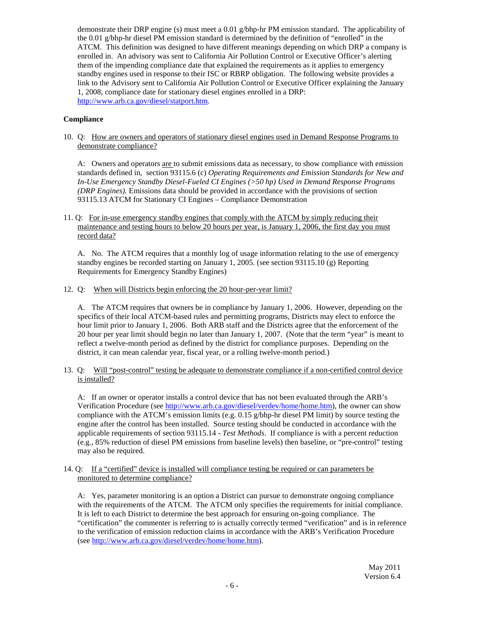demonstrate their DRP engine (s) must meet a 0.01 g/bhp-hr PM emission standard. The applicability of the 0.01 g/bhp-hr diesel PM emission standard is determined by the definition of "enrolled" in the ATCM. This definition was designed to have different meanings depending on which DRP a company is enrolled in. An advisory was sent to California Air Pollution Control or Executive Officer's alerting them of the impending compliance date that explained the requirements as it applies to emergency standby engines used in response to their ISC or RBRP obligation. The following website provides a link to the Advisory sent to California Air Pollution Control or Executive Officer explaining the January 1, 2008, compliance date for stationary diesel engines enrolled in a DRP: [http://www.arb.ca.gov/diesel/statport.htm.](http://www.arb.ca.gov/diesel/statport.htm)

### **Compliance**

10. Q: How are owners and operators of stationary diesel engines used in Demand Response Programs to demonstrate compliance?

 standards defined in, section 93115.6 (c) *Operating Requirements and Emission Standards for New and In-Use Emergency Standby Diesel-Fueled CI Engines (>50 hp) Used in Demand Response Programs (DRP Engines).* Emissions data should be provided in accordance with the provisions of section [93115.13](https://93115.13) ATCM for Stationary CI Engines – Compliance Demonstration A: Owners and operators <u>are t</u>o submit emissions data as necessary, to show compliance with emission

11. Q: For in-use emergency standby engines that comply with the ATCM by simply reducing their maintenance and testing hours to below 20 hours per year, is January 1, 2006, the first day you must record data?

 A. No. The ATCM requires that a monthly log of usage information relating to the use of emergency standby engines be recorded starting on January 1, 2005. (see section [93115.10](https://93115.10) (g) Reporting Requirements for Emergency Standby Engines)

12. Q: When will Districts begin enforcing the 20 hour-per-year limit?

 specifics of their local ATCM-based rules and permitting programs, Districts may elect to enforce the hour limit prior to January 1, 2006. Both ARB staff and the Districts agree that the enforcement of the 20 hour per year limit should begin no later than January 1, 2007. (Note that the term "year" is meant to reflect a twelve-month period as defined by the district for compliance purposes. Depending on the district, it can mean calendar year, fiscal year, or a rolling twelve-month period.) A. The ATCM requires that owners be in compliance by January 1, 2006. However, depending on the

13. Q: Will "post-control" testing be adequate to demonstrate compliance if a non-certified control device is installed?

 A: If an owner or operator installs a control device that has not been evaluated through the ARB's Verification Procedure (see [http://www.arb.ca.gov/diesel/verdev/home/home.htm\)](http://www.arb.ca.gov/diesel/verdev/home/home.htm), the owner can show compliance with the ATCM's emission limits (e.g. 0.15 g/bhp-hr diesel PM limit) by source testing the engine after the control has been installed. Source testing should be conducted in accordance with the applicable requirements of section [93115.14](https://93115.14) - *Test Methods*. If compliance is with a percent reduction (e.g., 85% reduction of diesel PM emissions from baseline levels) then baseline, or "pre-control" testing may also be required.

14. Q: If a "certified" device is installed will compliance testing be required or can parameters be monitored to determine compliance?

 with the requirements of the ATCM. The ATCM only specifies the requirements for initial compliance. It is left to each District to determine the best approach for ensuring on-going compliance. The "certification" the commenter is referring to is actually correctly termed "verification" and is in reference to the verification of emission reduction claims in accordance with the ARB's Verification Procedure (see <u>http://www.arb.ca.gov/diesel/verdev/home/home.htm</u>).<br>May 2011 A: Yes, parameter monitoring is an option a District can pursue to demonstrate ongoing compliance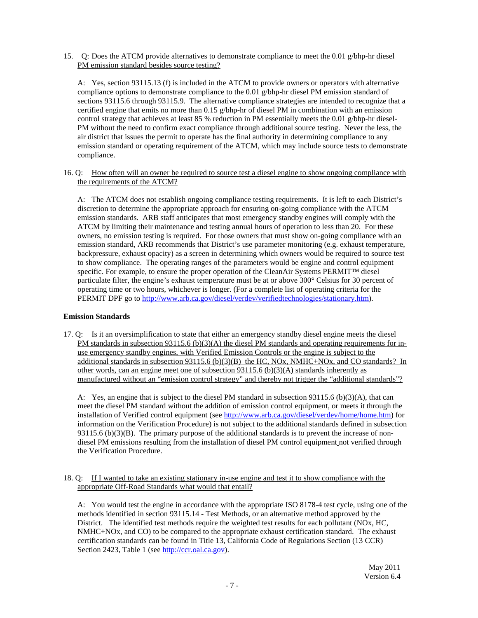15. Q: Does the ATCM provide alternatives to demonstrate compliance to meet the 0.01 g/bhp-hr diesel PM emission standard besides source testing?

 compliance options to demonstrate compliance to the 0.01 g/bhp-hr diesel PM emission standard of sections 93115.6 through 93115.9. The alternative compliance strategies are intended to recognize that a certified engine that emits no more than 0.15 g/bhp-hr of diesel PM in combination with an emission control strategy that achieves at least 85 % reduction in PM essentially meets the 0.01 g/bhp-hr diesel- PM without the need to confirm exact compliance through additional source testing. Never the less, the air district that issues the permit to operate has the final authority in determining compliance to any emission standard or operating requirement of the ATCM, which may include source tests to demonstrate A: Yes, section [93115.13](https://93115.13) (f) is included in the ATCM to provide owners or operators with alternative compliance.

16. Q: How often will an owner be required to source test a diesel engine to show ongoing compliance with the requirements of the ATCM?

 discretion to determine the appropriate approach for ensuring on-going compliance with the ATCM emission standards. ARB staff anticipates that most emergency standby engines will comply with the ATCM by limiting their maintenance and testing annual hours of operation to less than 20. For these owners, no emission testing is required. For those owners that must show on-going compliance with an emission standard, ARB recommends that District's use parameter monitoring (e.g. exhaust temperature, backpressure, exhaust opacity) as a screen in determining which owners would be required to source test to show compliance. The operating ranges of the parameters would be engine and control equipment specific. For example, to ensure the proper operation of the CleanAir Systems PERMIT™ diesel particulate filter, the engine's exhaust temperature must be at or above 300° Celsius for 30 percent of operating time or two hours, whichever is longer. (For a complete list of operating criteria for the PERMIT DPF go to [http://www.arb.ca.gov/diesel/verdev/verifiedtechnologies/stationary.htm\)](http://www.arb.ca.gov/diesel/verdev/verifiedtechnologies/stationary.htm). A: The ATCM does not establish ongoing compliance testing requirements. It is left to each District's

### **Emission Standards**

17. Q: Is it an oversimplification to state that either an emergency standby diesel engine meets the diesel PM standards in subsection 93115.6 (b)(3)(A) the diesel PM standards and operating requirements for inuse emergency standby engines, with Verified Emission Controls or the engine is subject to the additional standards in subsection 93115.6 (b)(3)(B) the HC, NOx, NMHC+NOx, and CO standards? In other words, can an engine meet one of subsection 93115.6 (b)(3)(A) standards inherently as manufactured without an "emission control strategy" and thereby not trigger the "additional standards"?

 A: Yes, an engine that is subject to the diesel PM standard in subsection 93115.6 (b)(3)(A), that can meet the diesel PM standard without the addition of emission control equipment, or meets it through the installation of Verified control equipment (see [http://www.arb.ca.gov/diesel/verdev/home/home.htm\)](http://www.arb.ca.gov/diesel/verdev/home/home.htm) for information on the Verification Procedure) is not subject to the additional standards defined in subsection 93115.6 (b)(3)(B). The primary purpose of the additional standards is to prevent the increase of non- diesel PM emissions resulting from the installation of diesel PM control equipment not verified through the Verification Procedure.

### 18. Q: If I wanted to take an existing stationary in-use engine and test it to show compliance with the appropriate Off-Road Standards what would that entail?

 methods identified in section [93115.14](https://93115.14) - Test Methods, or an alternative method approved by the District. The identified test methods require the weighted test results for each pollutant (NOx, HC, NMHC+NOx, and CO) to be compared to the appropriate exhaust certification standard. The exhaust certification standards can be found in Title 13, California Code of Regulations Section (13 CCR) Section 2423, Table 1 (see [http://ccr.oal.ca.gov\)](http://ccr.oal.ca.gov). A: You would test the engine in accordance with the appropriate ISO 8178-4 test cycle, using one of the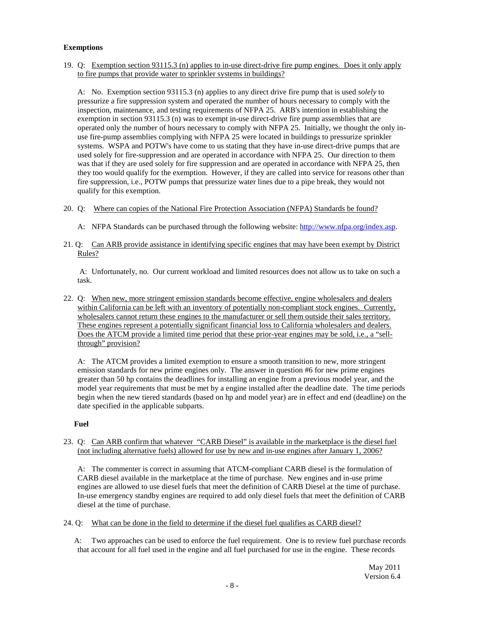### **Exemptions**

 19. Q: Exemption section 93115.3 (n) applies to in-use direct-drive fire pump engines. Does it only apply to fire pumps that provide water to sprinkler systems in buildings?

 A: No. Exemption section 93115.3 (n) applies to any direct drive fire pump that is used *solely* to pressurize a fire suppression system and operated the number of hours necessary to comply with the inspection, maintenance, and testing requirements of NFPA 25. ARB's intention in establishing the exemption in section 93115.3 (n) was to exempt in-use direct-drive fire pump assemblies that are operated only the number of hours necessary to comply with NFPA 25. Initially, we thought the only in- use fire-pump assemblies complying with NFPA 25 were located in buildings to pressurize sprinkler systems. WSPA and POTW's have come to us stating that they have in-use direct-drive pumps that are used solely for fire-suppression and are operated in accordance with NFPA 25. Our direction to them was that if they are used solely for fire suppression and are operated in accordance with NFPA 25, then they too would qualify for the exemption. However, if they are called into service for reasons other than fire suppression, i.e., POTW pumps that pressurize water lines due to a pipe break, they would not qualify for this exemption.

- 20. Q: Where can copies of the National Fire Protection Association (NFPA) Standards be found?
	- A: NFPA Standards can be purchased through the following website: [http://www.nfpa.org/index.asp.](http://www.nfpa.org/index.asp)
- 21. Q: Can ARB provide assistance in identifying specific engines that may have been exempt by District Rules?

 A: Unfortunately, no. Our current workload and limited resources does not allow us to take on such a task.

22. Q: When new, more stringent emission standards become effective, engine wholesalers and dealers within California can be left with an inventory of potentially non-compliant stock engines. Currently, wholesalers cannot return these engines to the manufacturer or sell them outside their sales territory. These engines represent a potentially significant financial loss to California wholesalers and dealers. Does the ATCM provide a limited time period that these prior-year engines may be sold, i.e., a "sell-through" provision?

 A: The ATCM provides a limited exemption to ensure a smooth transition to new, more stringent emission standards for new prime engines only. The answer in question #6 for new prime engines greater than 50 hp contains the deadlines for installing an engine from a previous model year, and the model year requirements that must be met by a engine installed after the deadline date. The time periods begin when the new tiered standards (based on hp and model year) are in effect and end (deadline) on the date specified in the applicable subparts.

### **Fuel**

 23. Q: Can ARB confirm that whatever "CARB Diesel" is available in the marketplace is the diesel fuel (not including alternative fuels) allowed for use by new and in-use engines after January 1, 2006?

 A: The commenter is correct in assuming that ATCM-compliant CARB diesel is the formulation of CARB diesel available in the marketplace at the time of purchase. New engines and in-use prime engines are allowed to use diesel fuels that meet the definition of CARB Diesel at the time of purchase. In-use emergency standby engines are required to add only diesel fuels that meet the definition of CARB diesel at the time of purchase.

24. Q: What can be done in the field to determine if the diesel fuel qualifies as CARB diesel?

 A: Two approaches can be used to enforce the fuel requirement. One is to review fuel purchase records that account for all fuel used in the engine and all fuel purchased for use in the engine. These records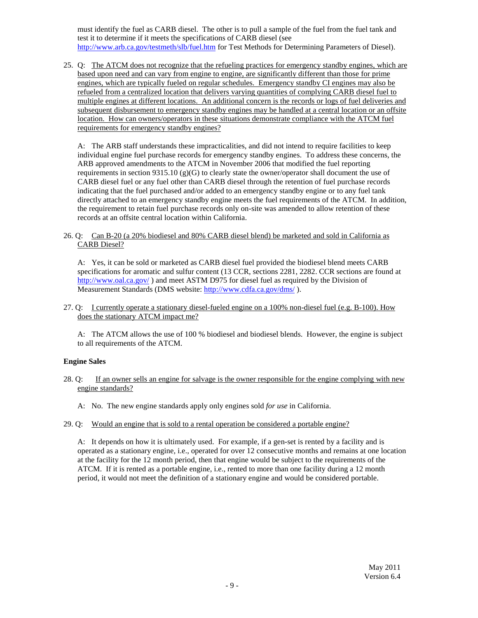must identify the fuel as CARB diesel. The other is to pull a sample of the fuel from the fuel tank and test it to determine if it meets the specifications of CARB diesel (see <http://www.arb.ca.gov/testmeth/slb/fuel.htm> for Test Methods for Determining Parameters of Diesel).

25. Q: The ATCM does not recognize that the refueling practices for emergency standby engines, which are based upon need and can vary from engine to engine, are significantly different than those for prime engines, which are typically fueled on regular schedules. Emergency standby CI engines may also be refueled from a centralized location that delivers varying quantities of complying CARB diesel fuel to multiple engines at different locations. An additional concern is the records or logs of fuel deliveries and subsequent disbursement to emergency standby engines may be handled at a central location or an offsite location. How can owners/operators in these situations demonstrate compliance with the ATCM fuel requirements for emergency standby engines?

 A: The ARB staff understands these impracticalities, and did not intend to require facilities to keep individual engine fuel purchase records for emergency standby engines. To address these concerns, the ARB approved amendments to the ATCM in November 2006 that modified the fuel reporting requirements in section 9315.10 (g)(G) to clearly state the owner/operator shall document the use of CARB diesel fuel or any fuel other than CARB diesel through the retention of fuel purchase records indicating that the fuel purchased and/or added to an emergency standby engine or to any fuel tank directly attached to an emergency standby engine meets the fuel requirements of the ATCM. In addition, the requirement to retain fuel purchase records only on-site was amended to allow retention of these records at an offsite central location within California.

 26. Q: Can B-20 (a 20% biodiesel and 80% CARB diesel blend) be marketed and sold in California as CARB Diesel?

 specifications for aromatic and sulfur content (13 CCR, sections 2281, 2282. CCR sections are found at <http://www.oal.ca.gov>/) and meet ASTM D975 for diesel fuel as required by the Division of Measurement Standards (DMS website: [http://www.cdfa.ca.gov/dms/](http://www.cdfa.ca.gov/dms)). A: Yes, it can be sold or marketed as CARB diesel fuel provided the biodiesel blend meets CARB

27. Q: Leurrently operate a stationary diesel-fueled engine on a 100% non-diesel fuel (e.g. B-100). How does the stationary ATCM impact me?

 to all requirements of the ATCM. A: The ATCM allows the use of 100 % biodiesel and biodiesel blends. However, the engine is subject

### **Engine Sales**

- $28.0:$  engine standards? If an owner sells an engine for salvage is the owner responsible for the engine complying with new
	- A: No. The new engine standards apply only engines sold *for use* in California.
- 29. Q: Would an engine that is sold to a rental operation be considered a portable engine?

 operated as a stationary engine, i.e., operated for over 12 consecutive months and remains at one location at the facility for the 12 month period, then that engine would be subject to the requirements of the ATCM. If it is rented as a portable engine, i.e., rented to more than one facility during a 12 month period, it would not meet the definition of a stationary engine and would be considered portable. A: It depends on how it is ultimately used. For example, if a gen-set is rented by a facility and is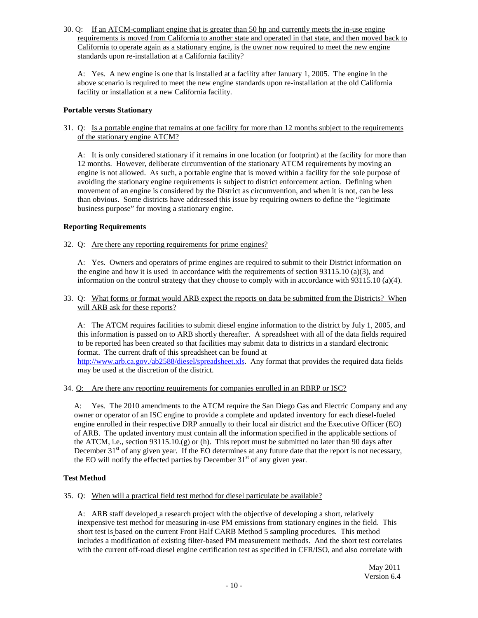30. Q: If an ATCM-compliant engine that is greater than 50 hp and currently meets the in-use engine requirements is moved from California to another state and operated in that state, and then moved back to California to operate again as a stationary engine, is the owner now required to meet the new engine standards upon re-installation at a California facility?

 above scenario is required to meet the new engine standards upon re-installation at the old California facility or installation at a new California facility. A: Yes. A new engine is one that is installed at a facility after January 1, 2005. The engine in the

### **Portable versus Stationary**

31. Q: Is a portable engine that remains at one facility for more than 12 months subject to the requirements of the stationary engine ATCM?

 A: It is only considered stationary if it remains in one location (or footprint) at the facility for more than 12 months. However, deliberate circumvention of the stationary ATCM requirements by moving an engine is not allowed. As such, a portable engine that is moved within a facility for the sole purpose of avoiding the stationary engine requirements is subject to district enforcement action. Defining when movement of an engine is considered by the District as circumvention, and when it is not, can be less than obvious. Some districts have addressed this issue by requiring owners to define the "legitimate business purpose" for moving a stationary engine.

### **Reporting Requirements**

32. Q: Are there any reporting requirements for prime engines?

 A: Yes. Owners and operators of prime engines are required to submit to their District information on the engine and how it is used in accordance with the requirements of section  $93115.10$  (a)(3), and information on the control strategy that they choose to comply with in accordance with [93115.10](https://93115.10) (a)(4).

33. Q: What forms or format would ARB expect the reports on data be submitted from the Districts? When will ARB ask for these reports?

 this information is passed on to ARB shortly thereafter. A spreadsheet with all of the data fields required to be reported has been created so that facilities may submit data to districts in a standard electronic format. The current draft of this spreadsheet can be found at <http://www.arb.ca.gov./ab2588/diesel/spreadsheet.xls>. Any format that provides the required data fields may be used at the discretion of the district. A: The ATCM requires facilities to submit diesel engine information to the district by July 1, 2005, and

### 34. Q: Are there any reporting requirements for companies enrolled in an RBRP or ISC?

 owner or operator of an ISC engine to provide a complete and updated inventory for each diesel-fueled engine enrolled in their respective DRP annually to their local air district and the Executive Officer (EO) of ARB. The updated inventory must contain all the information specified in the applicable sections of the ATCM, i.e., section 93115.10.(g) or (h). This report must be submitted no later than 90 days after December  $31<sup>st</sup>$  of any given year. If the EO determines at any future date that the report is not necessary, the EO will notify the effected parties by December 31<sup>st</sup> of any given year. A: Yes. The 2010 amendments to the ATCM require the San Diego Gas and Electric Company and any

# **Test Method**

35. Q: When will a practical field test method for diesel particulate be available?

 A: ARB staff developed a research project with the objective of developing a short, relatively inexpensive test method for measuring in-use PM emissions from stationary engines in the field. This short test is based on the current Front Half CARB Method 5 sampling procedures. This method includes a modification of existing filter-based PM measurement methods. And the short test correlates with the current off-road diesel engine certification test as specified in CFR/ISO, and also correlate with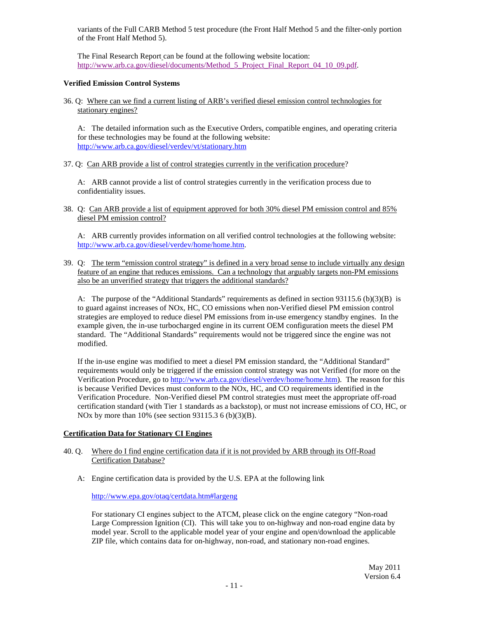variants of the Full CARB Method 5 test procedure (the Front Half Method 5 and the filter-only portion of the Front Half Method 5).

 The Final Research Report can be found at the following website location: [http://www.arb.ca.gov/diesel/documents/Method\\_5\\_Project\\_Final\\_Report\\_04\\_10\\_09.pdf](http://www.arb.ca.gov/diesel/documents/Method_5_Project_Final_Report_04_10_09.pdf).

### **Verified Emission Control Systems**

 36. Q: Where can we find a current listing of ARB's verified diesel emission control technologies for stationary engines?

 A: The detailed information such as the Executive Orders, compatible engines, and operating criteria for these technologies may be found at the following website: http://www.arb.ca.gov/diesel/verdev/vt/stationary.htm

http://www.arb.ca.gov/diesel/verdev/vt/stationary.htm<br>37. Q: Can ARB provide a list of control strategies currently in the verification procedure?

 confidentiality issues. A: ARB cannot provide a list of control strategies currently in the verification process due to

 38. Q: Can ARB provide a list of equipment approved for both 30% diesel PM emission control and 85% diesel PM emission control?

http://www.arb.ca.gov/diesel/verdev/home/home.htm. A: ARB currently provides information on all verified control technologies at the following website:

<http://www.arb.ca.gov/diesel/verdev/home/home.htm>.<br>39. Q: The term "emission control strategy" is defined in a very broad sense to include virtually any design feature of an engine that reduces emissions. Can a technology that arguably targets non-PM emissions also be an unverified strategy that triggers the additional standards?

 A: The purpose of the "Additional Standards" requirements as defined in section 93115.6 (b)(3)(B) is to guard against increases of NOx, HC, CO emissions when non-Verified diesel PM emission control strategies are employed to reduce diesel PM emissions from in-use emergency standby engines. In the example given, the in-use turbocharged engine in its current OEM configuration meets the diesel PM standard. The "Additional Standards" requirements would not be triggered since the engine was not modified.

modified.<br>If the in-use engine was modified to meet a diesel PM emission standard, the "Additional Standard" requirements would only be triggered if the emission control strategy was not Verified (for more on the Verification Procedure, go to <http://www.arb.ca.gov/diesel/verdev/home/home.htm>). The reason for this is because Verified Devices must conform to the NOx, HC, and CO requirements identified in the Verification Procedure. Non-Verified diesel PM control strategies must meet the appropriate off-road certification standard (with Tier 1 standards as a backstop), or must not increase emissions of CO, HC, or NOx by more than 10% (see section 93115.3 6 (b)(3)(B).

# **Certification Data for Stationary CI Engines**

- 40. Q. Where do I find engine certification data if it is not provided by ARB through its Off-Road Certification Database?
	- A: Engine certification data is provided by the U.S. EPA at the following link

<http://www.epa.gov/otaq/certdata.htm#largeng>

 For stationary CI engines subject to the ATCM, please click on the engine category "Non-road Large Compression Ignition (CI). This will take you to on-highway and non-road engine data by model year. Scroll to the applicable model year of your engine and open/download the applicable ZIP file, which contains data for on-highway, non-road, and stationary non-road engines.